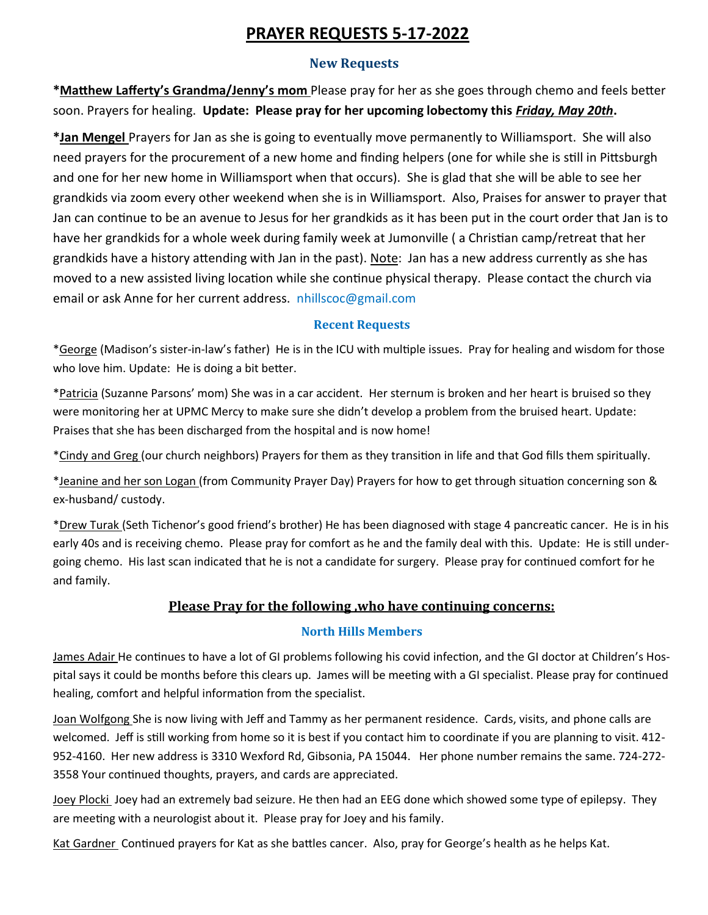# **PRAYER REQUESTS 5-17-2022**

### **New Requests**

**\*Matthew Lafferty's Grandma/Jenny's mom** Please pray for her as she goes through chemo and feels better soon. Prayers for healing. **Update: Please pray for her upcoming lobectomy this** *Friday, May 20th***.**

**\*Jan Mengel** Prayers for Jan as she is going to eventually move permanently to Williamsport. She will also need prayers for the procurement of a new home and finding helpers (one for while she is still in Pittsburgh and one for her new home in Williamsport when that occurs). She is glad that she will be able to see her grandkids via zoom every other weekend when she is in Williamsport. Also, Praises for answer to prayer that Jan can continue to be an avenue to Jesus for her grandkids as it has been put in the court order that Jan is to have her grandkids for a whole week during family week at Jumonville ( a Christian camp/retreat that her grandkids have a history attending with Jan in the past). Note: Jan has a new address currently as she has moved to a new assisted living location while she continue physical therapy. Please contact the church via email or ask Anne for her current address. nhillscoc@gmail.com

#### **Recent Requests**

\*George (Madison's sister-in-law's father) He is in the ICU with multiple issues. Pray for healing and wisdom for those who love him. Update: He is doing a bit better.

\*Patricia (Suzanne Parsons' mom) She was in a car accident. Her sternum is broken and her heart is bruised so they were monitoring her at UPMC Mercy to make sure she didn't develop a problem from the bruised heart. Update: Praises that she has been discharged from the hospital and is now home!

\*Cindy and Greg (our church neighbors) Prayers for them as they transition in life and that God fills them spiritually.

\*Jeanine and her son Logan (from Community Prayer Day) Prayers for how to get through situation concerning son & ex-husband/ custody.

\*Drew Turak (Seth Tichenor's good friend's brother) He has been diagnosed with stage 4 pancreatic cancer. He is in his early 40s and is receiving chemo. Please pray for comfort as he and the family deal with this. Update: He is still undergoing chemo. His last scan indicated that he is not a candidate for surgery. Please pray for continued comfort for he and family.

# **Please Pray for the following ,who have continuing concerns:**

#### **North Hills Members**

James Adair He continues to have a lot of GI problems following his covid infection, and the GI doctor at Children's Hospital says it could be months before this clears up. James will be meeting with a GI specialist. Please pray for continued healing, comfort and helpful information from the specialist.

Joan Wolfgong She is now living with Jeff and Tammy as her permanent residence. Cards, visits, and phone calls are welcomed. Jeff is still working from home so it is best if you contact him to coordinate if you are planning to visit. 412- 952-4160. Her new address is 3310 Wexford Rd, Gibsonia, PA 15044. Her phone number remains the same. 724-272- 3558 Your continued thoughts, prayers, and cards are appreciated.

Joey Plocki Joey had an extremely bad seizure. He then had an EEG done which showed some type of epilepsy. They are meeting with a neurologist about it. Please pray for Joey and his family.

Kat Gardner Continued prayers for Kat as she battles cancer. Also, pray for George's health as he helps Kat.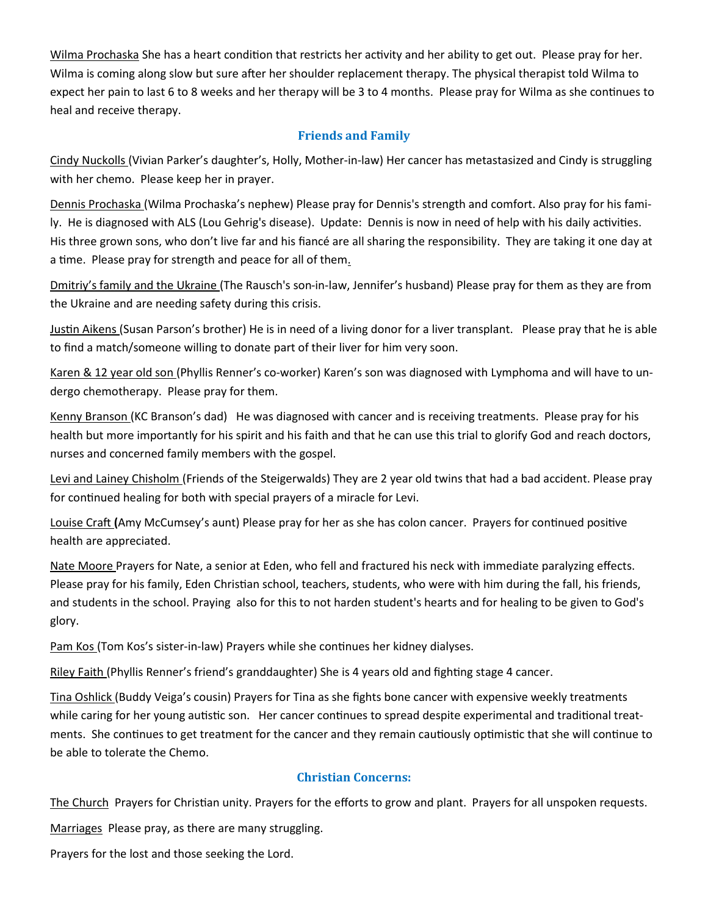Wilma Prochaska She has a heart condition that restricts her activity and her ability to get out. Please pray for her. Wilma is coming along slow but sure after her shoulder replacement therapy. The physical therapist told Wilma to expect her pain to last 6 to 8 weeks and her therapy will be 3 to 4 months. Please pray for Wilma as she continues to heal and receive therapy.

#### **Friends and Family**

Cindy Nuckolls (Vivian Parker's daughter's, Holly, Mother-in-law) Her cancer has metastasized and Cindy is struggling with her chemo. Please keep her in prayer.

Dennis Prochaska (Wilma Prochaska's nephew) Please pray for Dennis's strength and comfort. Also pray for his family. He is diagnosed with ALS (Lou Gehrig's disease). Update: Dennis is now in need of help with his daily activities. His three grown sons, who don't live far and his fiancé are all sharing the responsibility. They are taking it one day at a time. Please pray for strength and peace for all of them.

Dmitriy's family and the Ukraine (The Rausch's son-in-law, Jennifer's husband) Please pray for them as they are from the Ukraine and are needing safety during this crisis.

Justin Aikens (Susan Parson's brother) He is in need of a living donor for a liver transplant. Please pray that he is able to find a match/someone willing to donate part of their liver for him very soon.

Karen & 12 year old son (Phyllis Renner's co-worker) Karen's son was diagnosed with Lymphoma and will have to undergo chemotherapy. Please pray for them.

Kenny Branson (KC Branson's dad) He was diagnosed with cancer and is receiving treatments. Please pray for his health but more importantly for his spirit and his faith and that he can use this trial to glorify God and reach doctors, nurses and concerned family members with the gospel.

Levi and Lainey Chisholm (Friends of the Steigerwalds) They are 2 year old twins that had a bad accident. Please pray for continued healing for both with special prayers of a miracle for Levi.

Louise Craft **(**Amy McCumsey's aunt) Please pray for her as she has colon cancer. Prayers for continued positive health are appreciated.

Nate Moore Prayers for Nate, a senior at Eden, who fell and fractured his neck with immediate paralyzing effects. Please pray for his family, Eden Christian school, teachers, students, who were with him during the fall, his friends, and students in the school. Praying also for this to not harden student's hearts and for healing to be given to God's glory.

Pam Kos (Tom Kos's sister-in-law) Prayers while she continues her kidney dialyses.

Riley Faith (Phyllis Renner's friend's granddaughter) She is 4 years old and fighting stage 4 cancer.

Tina Oshlick (Buddy Veiga's cousin) Prayers for Tina as she fights bone cancer with expensive weekly treatments while caring for her young autistic son. Her cancer continues to spread despite experimental and traditional treatments. She continues to get treatment for the cancer and they remain cautiously optimistic that she will continue to be able to tolerate the Chemo.

# **Christian Concerns:**

The Church Prayers for Christian unity. Prayers for the efforts to grow and plant. Prayers for all unspoken requests.

Marriages Please pray, as there are many struggling.

Prayers for the lost and those seeking the Lord.